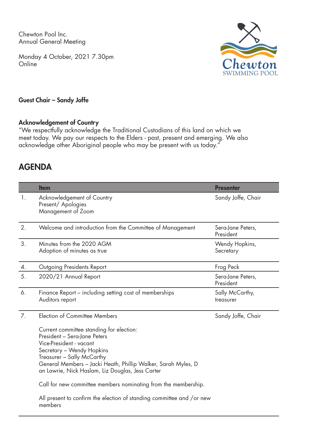Chewton Pool Inc. Annual General Meeting

Monday 4 October, 2021 7.30pm **Online** 



## Guest Chair – Sandy Joffe

## Acknowledgement of Country

"We respectfully acknowledge the Traditional Custodians of this land on which we meet today. We pay our respects to the Elders - past, present and emerging. We also acknowledge other Aboriginal people who may be present with us today."

## AGENDA

|    | <b>Item</b>                                                                                                                                                                                                                                                                                                                                                                                                                                                                        | <b>Presenter</b>               |
|----|------------------------------------------------------------------------------------------------------------------------------------------------------------------------------------------------------------------------------------------------------------------------------------------------------------------------------------------------------------------------------------------------------------------------------------------------------------------------------------|--------------------------------|
| 1. | Acknowledgement of Country<br>Present/ Apologies<br>Management of Zoom                                                                                                                                                                                                                                                                                                                                                                                                             | Sandy Joffe, Chair             |
| 2. | Welcome and introduction from the Committee of Management                                                                                                                                                                                                                                                                                                                                                                                                                          | Sera-Jane Peters,<br>President |
| 3. | Minutes from the 2020 AGM<br>Adoption of minutes as true                                                                                                                                                                                                                                                                                                                                                                                                                           | Wendy Hopkins,<br>Secretary    |
| 4. | Outgoing Presidents Report                                                                                                                                                                                                                                                                                                                                                                                                                                                         | Frog Peck                      |
| 5. | 2020/21 Annual Report                                                                                                                                                                                                                                                                                                                                                                                                                                                              | Sera-Jane Peters,<br>President |
| 6. | Finance Report - including setting cost of memberships<br>Auditors report                                                                                                                                                                                                                                                                                                                                                                                                          | Sally McCarthy,<br>treasurer   |
| 7. | <b>Election of Committee Members</b><br>Current committee standing for election:<br>President - Sera-Jane Peters<br>Vice-President - vacant<br>Secretary - Wendy Hopkins<br>Treasurer - Sally McCarthy<br>General Members - Jacki Heath, Phillip Walker, Sarah Myles, D<br>an Lawrie, Nick Haslam, Liz Douglas, Jess Carter<br>Call for new committee members nominating from the membership.<br>All present to confirm the election of standing committee and / or new<br>members | Sandy Joffe, Chair             |